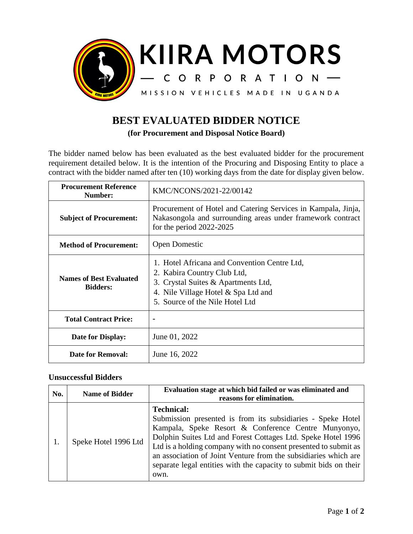

## **BEST EVALUATED BIDDER NOTICE**

**(for Procurement and Disposal Notice Board)**

The bidder named below has been evaluated as the best evaluated bidder for the procurement requirement detailed below. It is the intention of the Procuring and Disposing Entity to place a contract with the bidder named after ten (10) working days from the date for display given below.

| <b>Procurement Reference</b><br>Number:           | KMC/NCONS/2021-22/00142                                                                                                                                                                      |
|---------------------------------------------------|----------------------------------------------------------------------------------------------------------------------------------------------------------------------------------------------|
| <b>Subject of Procurement:</b>                    | Procurement of Hotel and Catering Services in Kampala, Jinja,<br>Nakasongola and surrounding areas under framework contract<br>for the period $2022-2025$                                    |
| <b>Method of Procurement:</b>                     | <b>Open Domestic</b>                                                                                                                                                                         |
| <b>Names of Best Evaluated</b><br><b>Bidders:</b> | 1. Hotel Africana and Convention Centre Ltd,<br>2. Kabira Country Club Ltd,<br>3. Crystal Suites & Apartments Ltd,<br>4. Nile Village Hotel & Spa Ltd and<br>5. Source of the Nile Hotel Ltd |
| <b>Total Contract Price:</b>                      |                                                                                                                                                                                              |
| Date for Display:                                 | June 01, 2022                                                                                                                                                                                |
| Date for Removal:                                 | June 16, 2022                                                                                                                                                                                |

## **Unsuccessful Bidders**

| No. | <b>Name of Bidder</b> | Evaluation stage at which bid failed or was eliminated and<br>reasons for elimination.                                                                                                                                                                                                                                                                                                                                     |
|-----|-----------------------|----------------------------------------------------------------------------------------------------------------------------------------------------------------------------------------------------------------------------------------------------------------------------------------------------------------------------------------------------------------------------------------------------------------------------|
|     | Speke Hotel 1996 Ltd  | <b>Technical:</b><br>Submission presented is from its subsidiaries - Speke Hotel<br>Kampala, Speke Resort & Conference Centre Munyonyo,<br>Dolphin Suites Ltd and Forest Cottages Ltd. Speke Hotel 1996<br>Ltd is a holding company with no consent presented to submit as<br>an association of Joint Venture from the subsidiaries which are<br>separate legal entities with the capacity to submit bids on their<br>own. |